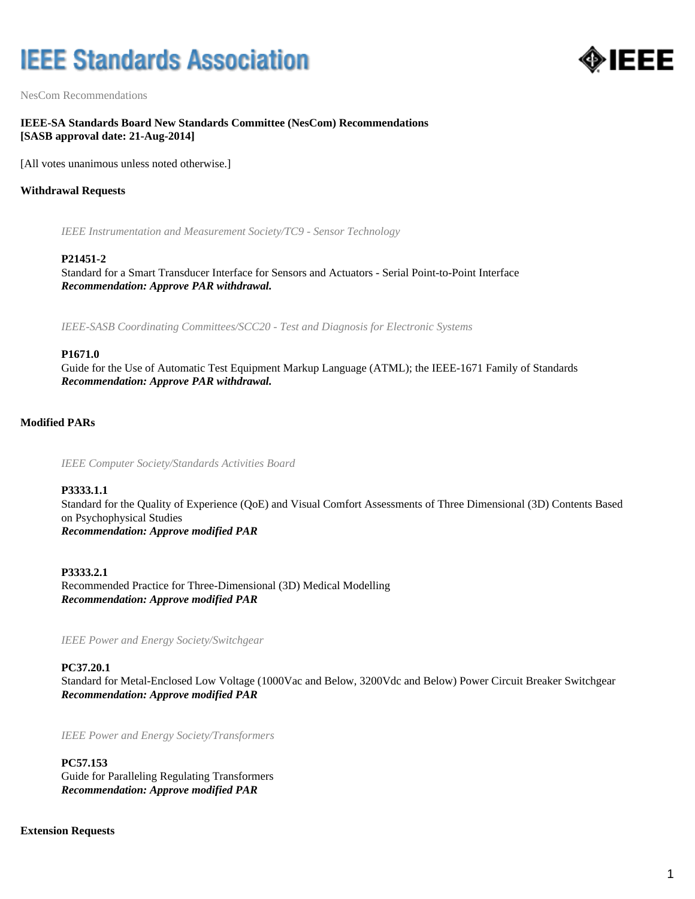# **IEEE Standards Association**



NesCom Recommendations

# **IEEE-SA Standards Board New Standards Committee (NesCom) Recommendations [SASB approval date: 21-Aug-2014]**

[All votes unanimous unless noted otherwise.]

## **Withdrawal Requests**

*IEEE Instrumentation and Measurement Society/TC9 - Sensor Technology*

#### **P21451-2**

Standard for a Smart Transducer Interface for Sensors and Actuators - Serial Point-to-Point Interface *Recommendation: Approve PAR withdrawal.*

*IEEE-SASB Coordinating Committees/SCC20 - Test and Diagnosis for Electronic Systems*

#### **P1671.0**

Guide for the Use of Automatic Test Equipment Markup Language (ATML); the IEEE-1671 Family of Standards *Recommendation: Approve PAR withdrawal.*

#### **Modified PARs**

*IEEE Computer Society/Standards Activities Board*

#### **P3333.1.1**

Standard for the Quality of Experience (QoE) and Visual Comfort Assessments of Three Dimensional (3D) Contents Based on Psychophysical Studies *Recommendation: Approve modified PAR*

**P3333.2.1** Recommended Practice for Three-Dimensional (3D) Medical Modelling *Recommendation: Approve modified PAR*

*IEEE Power and Energy Society/Switchgear*

#### **PC37.20.1**

Standard for Metal-Enclosed Low Voltage (1000Vac and Below, 3200Vdc and Below) Power Circuit Breaker Switchgear *Recommendation: Approve modified PAR*

*IEEE Power and Energy Society/Transformers*

#### **PC57.153**

Guide for Paralleling Regulating Transformers *Recommendation: Approve modified PAR*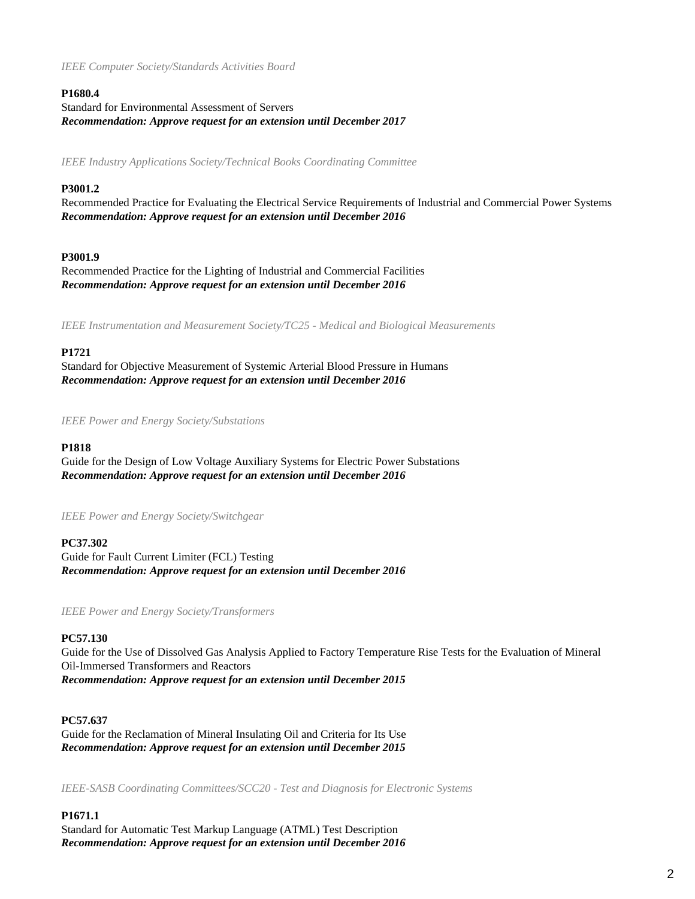*IEEE Computer Society/Standards Activities Board*

# **P1680.4**

Standard for Environmental Assessment of Servers *Recommendation: Approve request for an extension until December 2017*

*IEEE Industry Applications Society/Technical Books Coordinating Committee*

# **P3001.2**

Recommended Practice for Evaluating the Electrical Service Requirements of Industrial and Commercial Power Systems *Recommendation: Approve request for an extension until December 2016*

# **P3001.9**

Recommended Practice for the Lighting of Industrial and Commercial Facilities *Recommendation: Approve request for an extension until December 2016*

*IEEE Instrumentation and Measurement Society/TC25 - Medical and Biological Measurements*

# **P1721**

Standard for Objective Measurement of Systemic Arterial Blood Pressure in Humans *Recommendation: Approve request for an extension until December 2016*

*IEEE Power and Energy Society/Substations*

### **P1818**

Guide for the Design of Low Voltage Auxiliary Systems for Electric Power Substations *Recommendation: Approve request for an extension until December 2016*

*IEEE Power and Energy Society/Switchgear*

# **PC37.302**

Guide for Fault Current Limiter (FCL) Testing *Recommendation: Approve request for an extension until December 2016*

*IEEE Power and Energy Society/Transformers*

# **PC57.130**

Guide for the Use of Dissolved Gas Analysis Applied to Factory Temperature Rise Tests for the Evaluation of Mineral Oil-Immersed Transformers and Reactors *Recommendation: Approve request for an extension until December 2015*

# **PC57.637**

Guide for the Reclamation of Mineral Insulating Oil and Criteria for Its Use *Recommendation: Approve request for an extension until December 2015*

*IEEE-SASB Coordinating Committees/SCC20 - Test and Diagnosis for Electronic Systems*

# **P1671.1**

Standard for Automatic Test Markup Language (ATML) Test Description *Recommendation: Approve request for an extension until December 2016*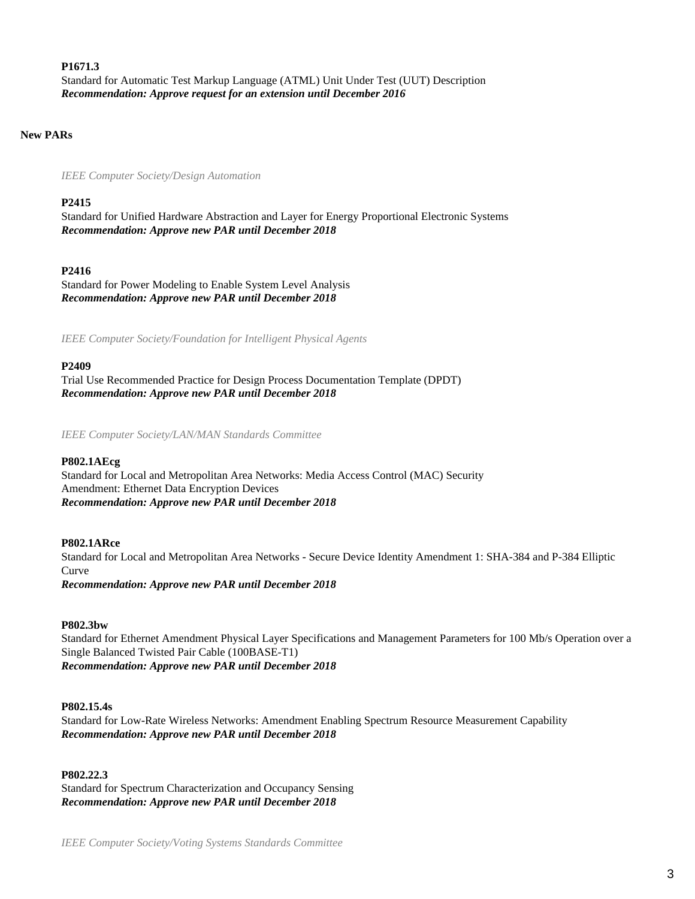#### **P1671.3**

Standard for Automatic Test Markup Language (ATML) Unit Under Test (UUT) Description *Recommendation: Approve request for an extension until December 2016*

#### **New PARs**

*IEEE Computer Society/Design Automation*

#### **P2415**

Standard for Unified Hardware Abstraction and Layer for Energy Proportional Electronic Systems *Recommendation: Approve new PAR until December 2018*

### **P2416**

Standard for Power Modeling to Enable System Level Analysis *Recommendation: Approve new PAR until December 2018*

*IEEE Computer Society/Foundation for Intelligent Physical Agents*

#### **P2409**

Trial Use Recommended Practice for Design Process Documentation Template (DPDT) *Recommendation: Approve new PAR until December 2018*

*IEEE Computer Society/LAN/MAN Standards Committee*

## **P802.1AEcg**

Standard for Local and Metropolitan Area Networks: Media Access Control (MAC) Security Amendment: Ethernet Data Encryption Devices *Recommendation: Approve new PAR until December 2018*

## **P802.1ARce**

Standard for Local and Metropolitan Area Networks - Secure Device Identity Amendment 1: SHA-384 and P-384 Elliptic Curve *Recommendation: Approve new PAR until December 2018*

#### **P802.3bw**

Standard for Ethernet Amendment Physical Layer Specifications and Management Parameters for 100 Mb/s Operation over a Single Balanced Twisted Pair Cable (100BASE-T1) *Recommendation: Approve new PAR until December 2018*

#### **P802.15.4s**

Standard for Low-Rate Wireless Networks: Amendment Enabling Spectrum Resource Measurement Capability *Recommendation: Approve new PAR until December 2018*

**P802.22.3** Standard for Spectrum Characterization and Occupancy Sensing *Recommendation: Approve new PAR until December 2018*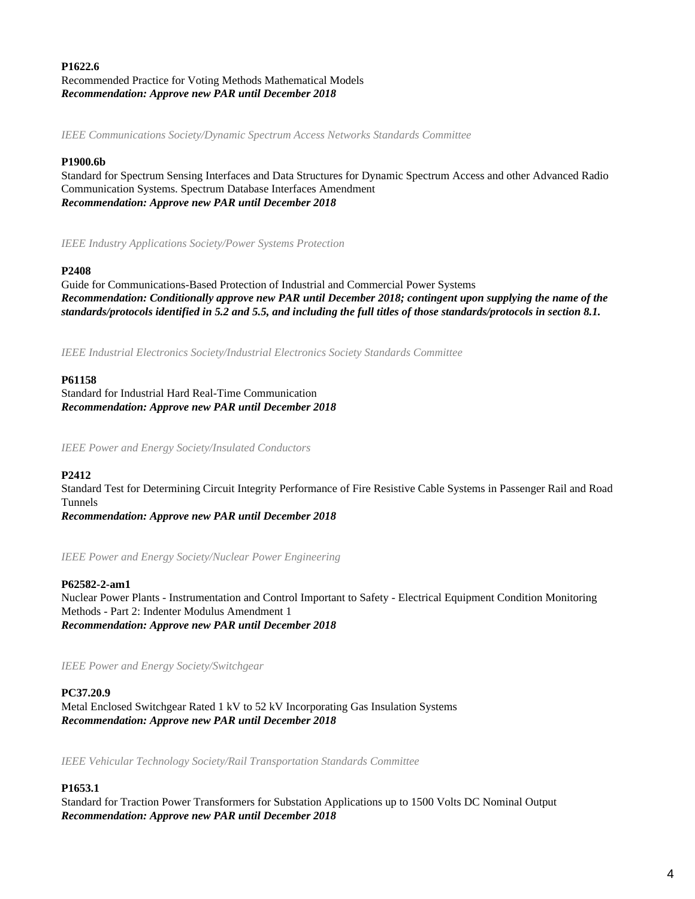# **P1622.6** Recommended Practice for Voting Methods Mathematical Models *Recommendation: Approve new PAR until December 2018*

*IEEE Communications Society/Dynamic Spectrum Access Networks Standards Committee*

# **P1900.6b**

Standard for Spectrum Sensing Interfaces and Data Structures for Dynamic Spectrum Access and other Advanced Radio Communication Systems. Spectrum Database Interfaces Amendment *Recommendation: Approve new PAR until December 2018*

*IEEE Industry Applications Society/Power Systems Protection*

# **P2408**

Guide for Communications-Based Protection of Industrial and Commercial Power Systems *Recommendation: Conditionally approve new PAR until December 2018; contingent upon supplying the name of the standards/protocols identified in 5.2 and 5.5, and including the full titles of those standards/protocols in section 8.1.*

*IEEE Industrial Electronics Society/Industrial Electronics Society Standards Committee*

# **P61158**

Standard for Industrial Hard Real-Time Communication *Recommendation: Approve new PAR until December 2018*

*IEEE Power and Energy Society/Insulated Conductors*

# **P2412**

Standard Test for Determining Circuit Integrity Performance of Fire Resistive Cable Systems in Passenger Rail and Road Tunnels

*Recommendation: Approve new PAR until December 2018*

*IEEE Power and Energy Society/Nuclear Power Engineering*

# **P62582-2-am1**

Nuclear Power Plants - Instrumentation and Control Important to Safety - Electrical Equipment Condition Monitoring Methods - Part 2: Indenter Modulus Amendment 1 *Recommendation: Approve new PAR until December 2018*

*IEEE Power and Energy Society/Switchgear*

# **PC37.20.9**

Metal Enclosed Switchgear Rated 1 kV to 52 kV Incorporating Gas Insulation Systems *Recommendation: Approve new PAR until December 2018*

*IEEE Vehicular Technology Society/Rail Transportation Standards Committee*

# **P1653.1**

Standard for Traction Power Transformers for Substation Applications up to 1500 Volts DC Nominal Output *Recommendation: Approve new PAR until December 2018*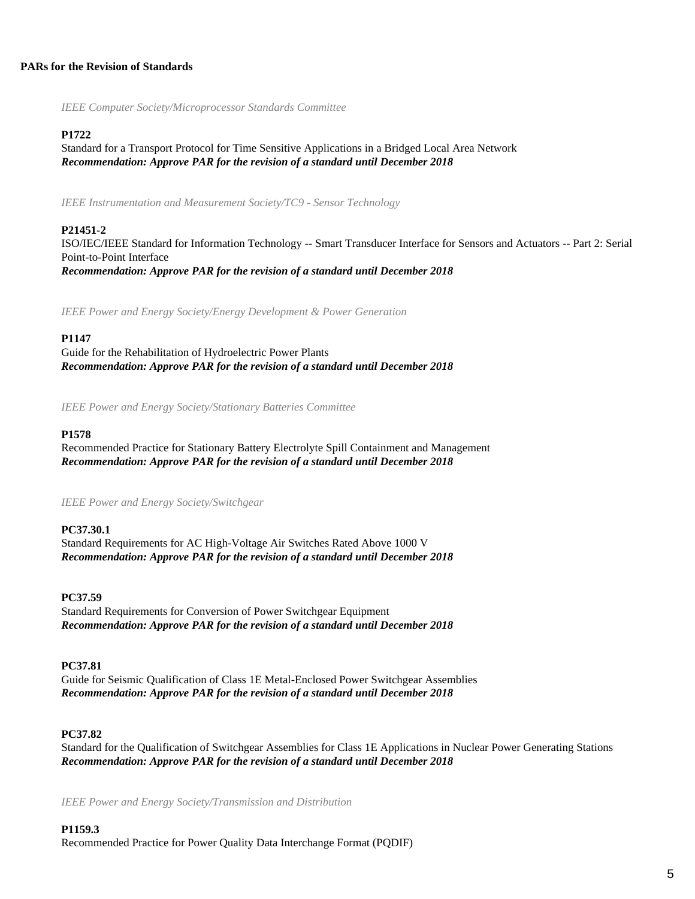# **PARs for the Revision of Standards**

*IEEE Computer Society/Microprocessor Standards Committee*

# **P1722**

Standard for a Transport Protocol for Time Sensitive Applications in a Bridged Local Area Network *Recommendation: Approve PAR for the revision of a standard until December 2018*

*IEEE Instrumentation and Measurement Society/TC9 - Sensor Technology*

# **P21451-2**

ISO/IEC/IEEE Standard for Information Technology -- Smart Transducer Interface for Sensors and Actuators -- Part 2: Serial Point-to-Point Interface *Recommendation: Approve PAR for the revision of a standard until December 2018*

*IEEE Power and Energy Society/Energy Development & Power Generation*

# **P1147**

Guide for the Rehabilitation of Hydroelectric Power Plants *Recommendation: Approve PAR for the revision of a standard until December 2018*

*IEEE Power and Energy Society/Stationary Batteries Committee*

# **P1578**

Recommended Practice for Stationary Battery Electrolyte Spill Containment and Management *Recommendation: Approve PAR for the revision of a standard until December 2018*

*IEEE Power and Energy Society/Switchgear*

# **PC37.30.1**

Standard Requirements for AC High-Voltage Air Switches Rated Above 1000 V *Recommendation: Approve PAR for the revision of a standard until December 2018*

#### **PC37.59**

Standard Requirements for Conversion of Power Switchgear Equipment *Recommendation: Approve PAR for the revision of a standard until December 2018*

#### **PC37.81**

Guide for Seismic Qualification of Class 1E Metal-Enclosed Power Switchgear Assemblies *Recommendation: Approve PAR for the revision of a standard until December 2018*

# **PC37.82**

Standard for the Qualification of Switchgear Assemblies for Class 1E Applications in Nuclear Power Generating Stations *Recommendation: Approve PAR for the revision of a standard until December 2018*

*IEEE Power and Energy Society/Transmission and Distribution*

#### **P1159.3**

Recommended Practice for Power Quality Data Interchange Format (PQDIF)